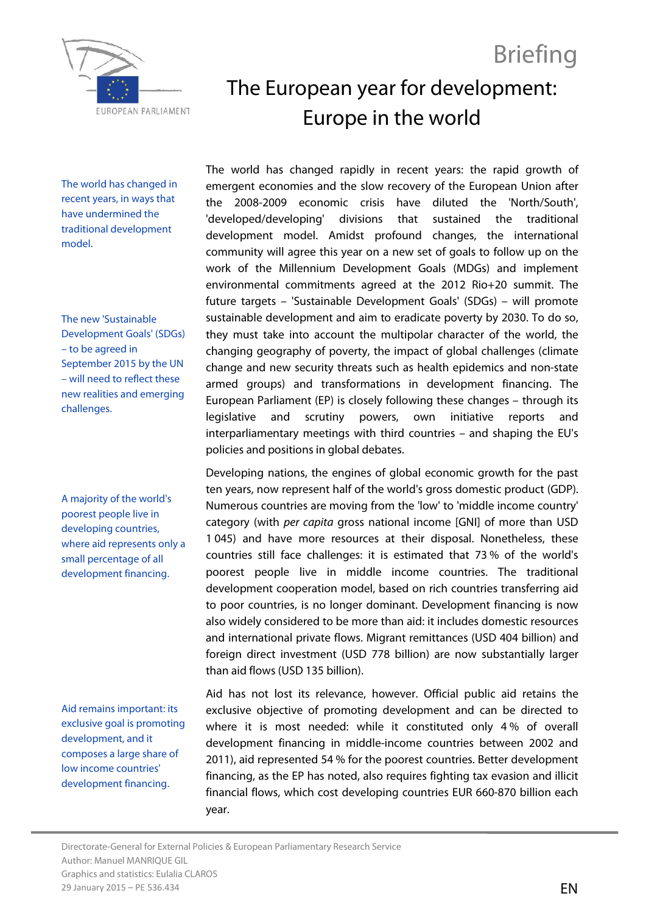

# The European year for development: Europe in the world

Briefing

The world has changed in recent years, in ways that have undermined the traditional development model.

The new 'Sustainable Development Goals' (SDGs) – to be agreed in September 2015 by the UN – will need to reflect these new realities and emerging challenges.

A majority of the world's poorest people live in developing countries, where aid represents only a small percentage of all development financing.

Aid remains important: its exclusive goal is promoting development, and it composes a large share of low income countries' development financing.

The world has changed rapidly in recent years: the rapid growth of emergent economies and the slow recovery of the European Union after the 2008-2009 economic crisis have diluted the 'North/South', 'developed/developing' divisions that sustained the traditional development model. Amidst profound changes, the international community will agree this year on a new set of goals to follow up on the work of the Millennium Development Goals (MDGs) and implement environmental commitments agreed at the 2012 Rio+20 summit. The future targets – 'Sustainable Development Goals' (SDGs) – will promote sustainable development and aim to eradicate poverty by 2030. To do so, they must take into account the multipolar character of the world, the changing geography of poverty, the impact of global challenges (climate change and new security threats such as health epidemics and non-state armed groups) and transformations in development financing. The European Parliament (EP) is closely following these changes – through its legislative and scrutiny powers, own initiative reports and interparliamentary meetings with third countries – and shaping the EU's policies and positions in global debates.

Developing nations, the engines of global economic growth for the past ten years, now represent half of the world's gross domestic product (GDP). Numerous countries are moving from the 'low' to 'middle income country' category (with *per capita* gross national income [GNI] of more than USD 1 045) and have more resources at their disposal. Nonetheless, these countries still face challenges: it is estimated that 73 % of the world's poorest people live in middle income countries. The traditional development cooperation model, based on rich countries transferring aid to poor countries, is no longer dominant. Development financing is now also widely considered to be more than aid: it includes domestic resources and international private flows. Migrant remittances (USD 404 billion) and foreign direct investment (USD 778 billion) are now substantially larger than aid flows (USD 135 billion).

Aid has not lost its relevance, however. Official public aid retains the exclusive objective of promoting development and can be directed to where it is most needed: while it constituted only 4 % of overall development financing in middle-income countries between 2002 and 2011), aid represented 54 % for the poorest countries. Better development financing, as the EP has noted, also requires fighting tax evasion and illicit financial flows, which cost developing countries EUR 660-870 billion each year.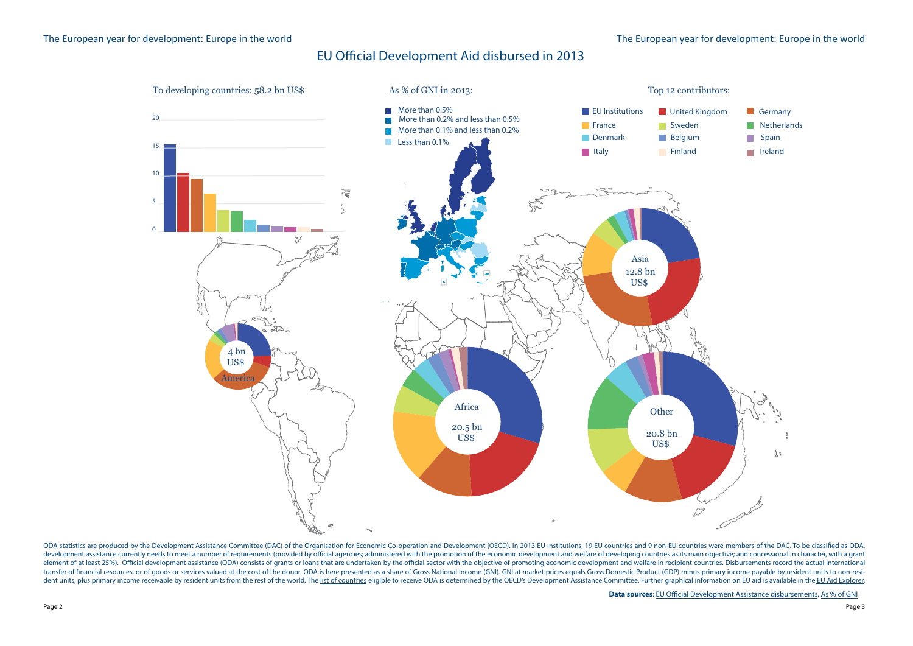

development assistance currently needs to meet a number of requirements (provided by official agencies; administered with the promotion of the economic development and welfare of developing countries as its main objective; element of at least 25%). Official development assistance (ODA) consists of grants or loans that are undertaken by the official sector with the objective of promoting economic development and welfare in recipient countries transfer of financial resources, or of goods or services valued at the cost of the donor. ODA is here presented as a share of Gross National Income (GNI). GNI at market prices equals Gross Domestic Product (GDP) minus prim  $\frac{1}{2}$  and units plus primary income receivable by resident units from the rest of the world. The list of countries eligible to receive ODA is determined by the OECD's Development Assistance Committee Eurther graphical dent units, plus primary income receivable by resident units from the rest of the world. The <u>[list of countries](http://www.oecd.org/dac/stats/daclistofodarecipients.htm)</u> eligible to receive ODA is determined by the OECD's Development Assistance Committee. Further graphical infor ODA statistics are produced by the Development Assistance Committee (DAC) of the Organisation for Economic Co-operation and Development (OECD). In 2013 EU institutions, 19 EU countries and 9 non-EU countries were members o

- 
- 
- 
- 
- 
- $\ell$  $\mathcal{Z}$

**Data sources**: <u>EU Official Development Assistance disbursements, [As % of GNI](http://ec.europa.eu/eurostat/tgm/table.do%3Ftab%3Dtable%26init%3D1%26language%3Den%26pcode%3Dtsdgp100%26plugin%3D1)</u>

### EU Ocial Development Aid disbursed in 2013 EU Official Development Aid disbursed in 2013

## The European year for development: Europe in the world